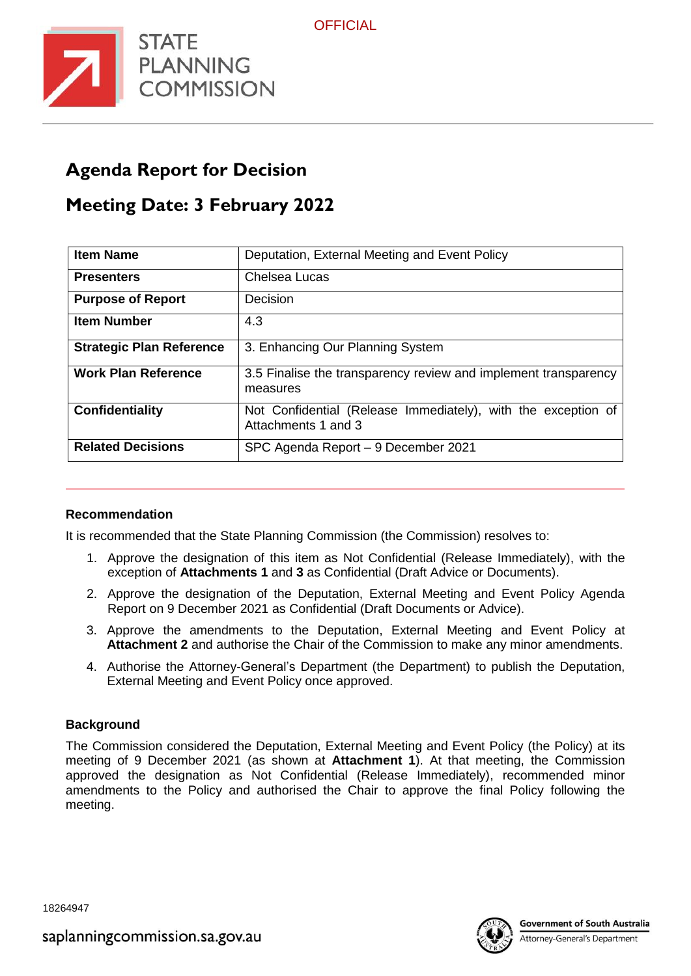



# **Agenda Report for Decision**

## **Meeting Date: 3 February 2022**

| <b>Item Name</b>                | Deputation, External Meeting and Event Policy                                        |  |  |
|---------------------------------|--------------------------------------------------------------------------------------|--|--|
| <b>Presenters</b>               | Chelsea Lucas                                                                        |  |  |
| <b>Purpose of Report</b>        | Decision                                                                             |  |  |
| <b>Item Number</b>              | 4.3                                                                                  |  |  |
| <b>Strategic Plan Reference</b> | 3. Enhancing Our Planning System                                                     |  |  |
| <b>Work Plan Reference</b>      | 3.5 Finalise the transparency review and implement transparency<br>measures          |  |  |
| Confidentiality                 | Not Confidential (Release Immediately), with the exception of<br>Attachments 1 and 3 |  |  |
| <b>Related Decisions</b>        | SPC Agenda Report - 9 December 2021                                                  |  |  |

#### **Recommendation**

It is recommended that the State Planning Commission (the Commission) resolves to:

- 1. Approve the designation of this item as Not Confidential (Release Immediately), with the exception of **Attachments 1** and **3** as Confidential (Draft Advice or Documents).
- 2. Approve the designation of the Deputation, External Meeting and Event Policy Agenda Report on 9 December 2021 as Confidential (Draft Documents or Advice).
- 3. Approve the amendments to the Deputation, External Meeting and Event Policy at **Attachment 2** and authorise the Chair of the Commission to make any minor amendments.
- 4. Authorise the Attorney-General's Department (the Department) to publish the Deputation, External Meeting and Event Policy once approved.

#### **Background**

The Commission considered the Deputation, External Meeting and Event Policy (the Policy) at its meeting of 9 December 2021 (as shown at **Attachment 1**). At that meeting, the Commission approved the designation as Not Confidential (Release Immediately), recommended minor amendments to the Policy and authorised the Chair to approve the final Policy following the meeting.

18264947



Attorney-General's Department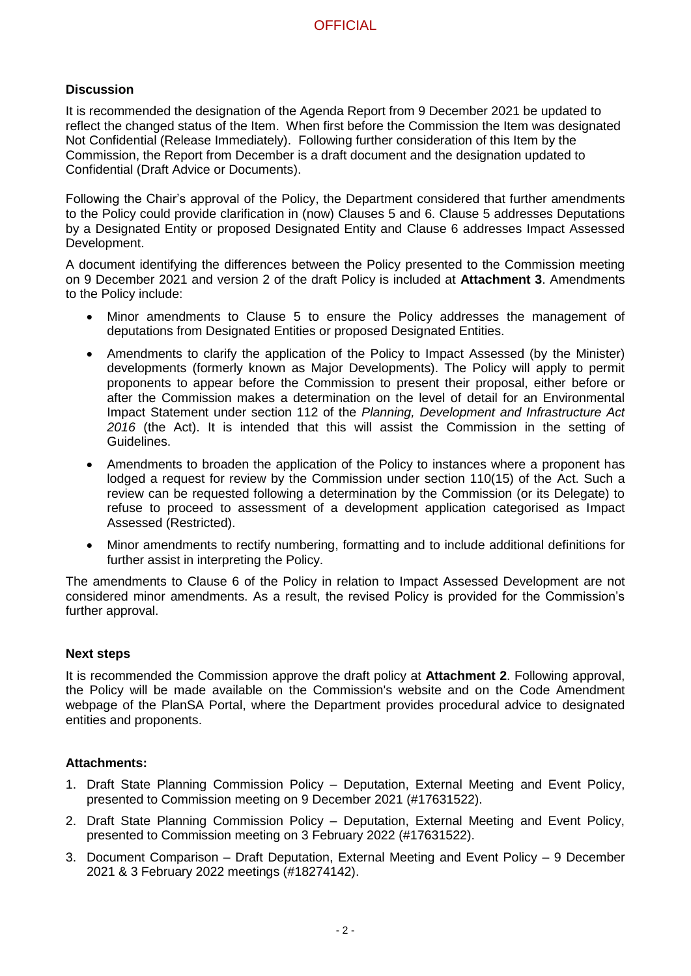#### **Discussion**

It is recommended the designation of the Agenda Report from 9 December 2021 be updated to reflect the changed status of the Item. When first before the Commission the Item was designated Not Confidential (Release Immediately). Following further consideration of this Item by the Commission, the Report from December is a draft document and the designation updated to Confidential (Draft Advice or Documents).

Following the Chair's approval of the Policy, the Department considered that further amendments to the Policy could provide clarification in (now) Clauses 5 and 6. Clause 5 addresses Deputations by a Designated Entity or proposed Designated Entity and Clause 6 addresses Impact Assessed Development.

A document identifying the differences between the Policy presented to the Commission meeting on 9 December 2021 and version 2 of the draft Policy is included at **Attachment 3**. Amendments to the Policy include:

- Minor amendments to Clause 5 to ensure the Policy addresses the management of deputations from Designated Entities or proposed Designated Entities.
- Amendments to clarify the application of the Policy to Impact Assessed (by the Minister) developments (formerly known as Major Developments). The Policy will apply to permit proponents to appear before the Commission to present their proposal, either before or after the Commission makes a determination on the level of detail for an Environmental Impact Statement under section 112 of the *Planning, Development and Infrastructure Act 2016* (the Act). It is intended that this will assist the Commission in the setting of Guidelines.
- Amendments to broaden the application of the Policy to instances where a proponent has lodged a request for review by the Commission under section 110(15) of the Act. Such a review can be requested following a determination by the Commission (or its Delegate) to refuse to proceed to assessment of a development application categorised as Impact Assessed (Restricted).
- Minor amendments to rectify numbering, formatting and to include additional definitions for further assist in interpreting the Policy.

The amendments to Clause 6 of the Policy in relation to Impact Assessed Development are not considered minor amendments. As a result, the revised Policy is provided for the Commission's further approval.

#### **Next steps**

It is recommended the Commission approve the draft policy at **Attachment 2**. Following approval, the Policy will be made available on the Commission's website and on the Code Amendment webpage of the PlanSA Portal, where the Department provides procedural advice to designated entities and proponents.

#### **Attachments:**

- 1. Draft State Planning Commission Policy Deputation, External Meeting and Event Policy, presented to Commission meeting on 9 December 2021 (#17631522).
- 2. Draft State Planning Commission Policy Deputation, External Meeting and Event Policy, presented to Commission meeting on 3 February 2022 (#17631522).
- 3. Document Comparison Draft Deputation, External Meeting and Event Policy 9 December 2021 & 3 February 2022 meetings (#18274142).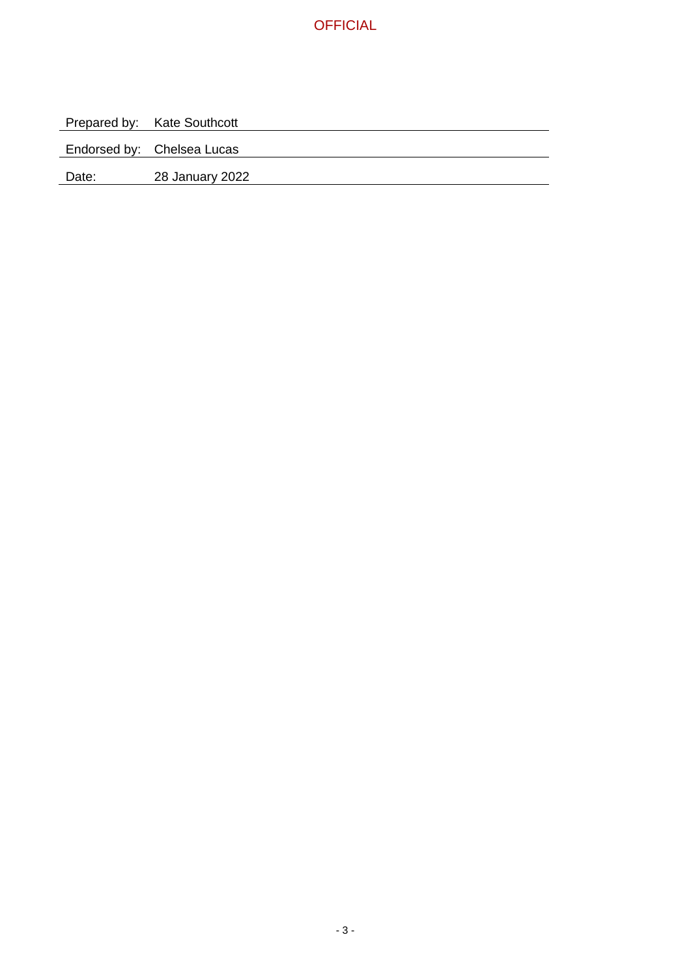

Prepared by: Kate Southcott

Endorsed by: Chelsea Lucas

Date: 28 January 2022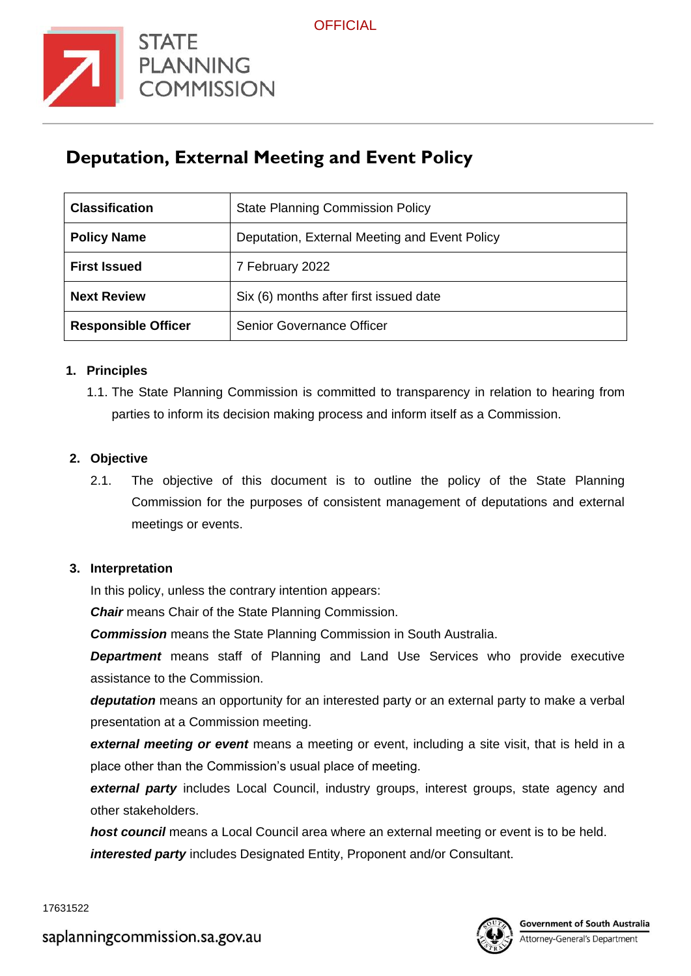

# **Deputation, External Meeting and Event Policy**

| <b>Classification</b>      | <b>State Planning Commission Policy</b>       |  |  |
|----------------------------|-----------------------------------------------|--|--|
| <b>Policy Name</b>         | Deputation, External Meeting and Event Policy |  |  |
| <b>First Issued</b>        | 7 February 2022                               |  |  |
| <b>Next Review</b>         | Six (6) months after first issued date        |  |  |
| <b>Responsible Officer</b> | Senior Governance Officer                     |  |  |

#### **1. Principles**

1.1. The State Planning Commission is committed to transparency in relation to hearing from parties to inform its decision making process and inform itself as a Commission.

#### **2. Objective**

2.1. The objective of this document is to outline the policy of the State Planning Commission for the purposes of consistent management of deputations and external meetings or events.

#### **3. Interpretation**

In this policy, unless the contrary intention appears:

*Chair* means Chair of the State Planning Commission.

*Commission* means the State Planning Commission in South Australia.

**Department** means staff of Planning and Land Use Services who provide executive assistance to the Commission.

*deputation* means an opportunity for an interested party or an external party to make a verbal presentation at a Commission meeting.

*external meeting or event* means a meeting or event, including a site visit, that is held in a place other than the Commission's usual place of meeting.

**external party** includes Local Council, industry groups, interest groups, state agency and other stakeholders.

*host council* means a Local Council area where an external meeting or event is to be held. *interested party* includes Designated Entity, Proponent and/or Consultant.

17631522

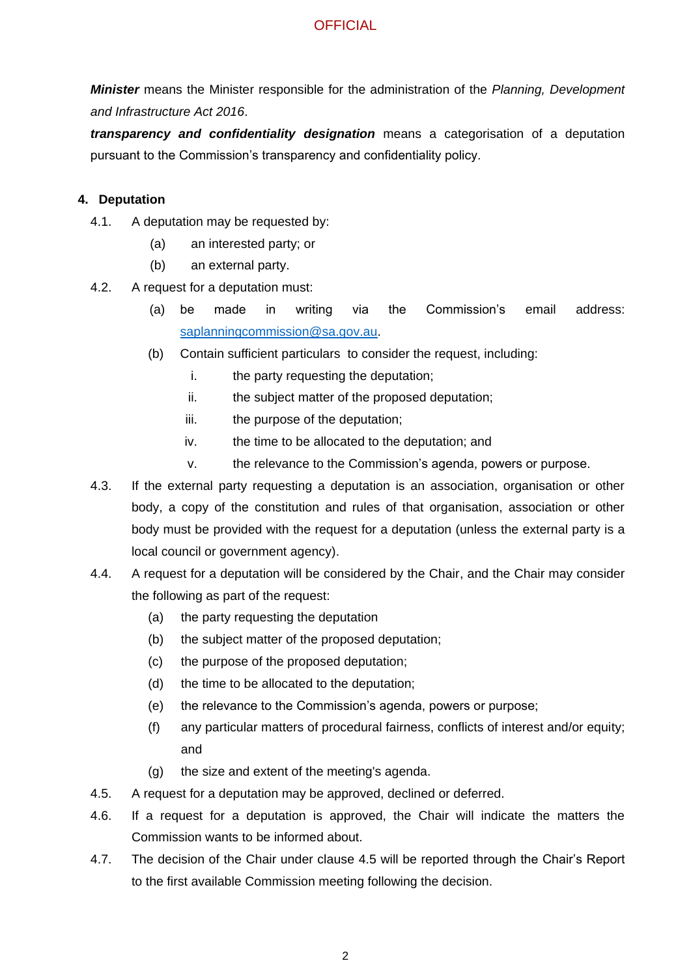*Minister* means the Minister responsible for the administration of the *Planning, Development and Infrastructure Act 2016*.

*transparency and confidentiality designation* means a categorisation of a deputation pursuant to the Commission's transparency and confidentiality policy.

#### **4. Deputation**

- 4.1. A deputation may be requested by:
	- (a) an interested party; or
	- (b) an external party.
- 4.2. A request for a deputation must:
	- (a) be made in writing via the Commission's email address: [saplanningcommission@sa.gov.au.](mailto:saplanningcommission@sa.gov.au)
	- (b) Contain sufficient particulars to consider the request, including:
		- i. the party requesting the deputation;
		- ii. the subject matter of the proposed deputation;
		- iii. the purpose of the deputation;
		- iv. the time to be allocated to the deputation; and
		- v. the relevance to the Commission's agenda, powers or purpose.
- 4.3. If the external party requesting a deputation is an association, organisation or other body, a copy of the constitution and rules of that organisation, association or other body must be provided with the request for a deputation (unless the external party is a local council or government agency).
- 4.4. A request for a deputation will be considered by the Chair, and the Chair may consider the following as part of the request:
	- (a) the party requesting the deputation
	- (b) the subject matter of the proposed deputation;
	- (c) the purpose of the proposed deputation;
	- (d) the time to be allocated to the deputation;
	- (e) the relevance to the Commission's agenda, powers or purpose;
	- (f) any particular matters of procedural fairness, conflicts of interest and/or equity; and
	- (g) the size and extent of the meeting's agenda.
- 4.5. A request for a deputation may be approved, declined or deferred.
- 4.6. If a request for a deputation is approved, the Chair will indicate the matters the Commission wants to be informed about.
- 4.7. The decision of the Chair under clause 4.5 will be reported through the Chair's Report to the first available Commission meeting following the decision.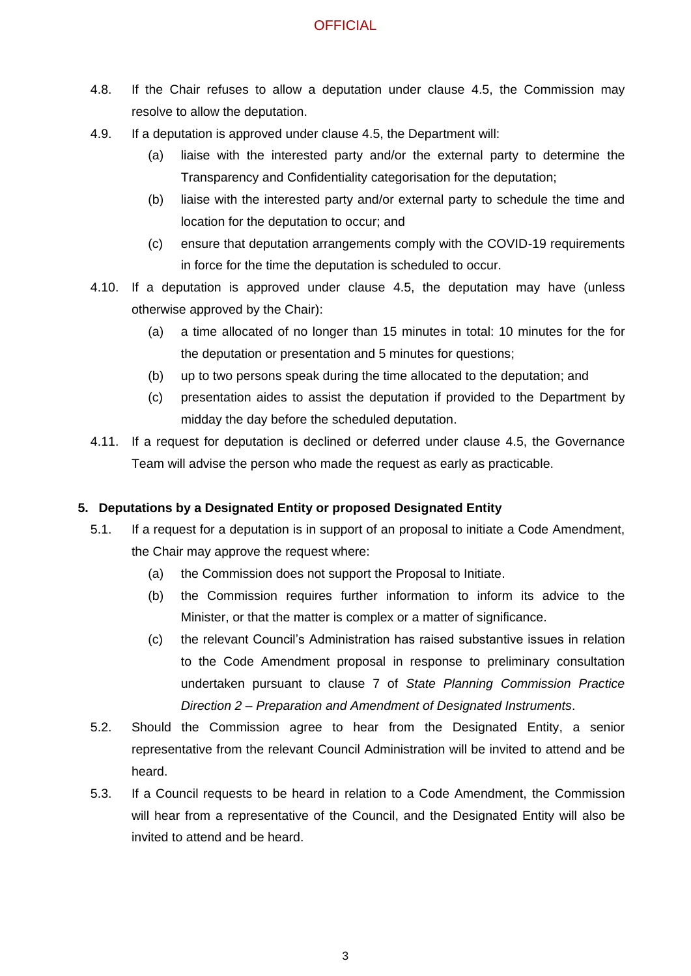- 4.8. If the Chair refuses to allow a deputation under clause 4.5, the Commission may resolve to allow the deputation.
- 4.9. If a deputation is approved under clause 4.5, the Department will:
	- (a) liaise with the interested party and/or the external party to determine the Transparency and Confidentiality categorisation for the deputation;
	- (b) liaise with the interested party and/or external party to schedule the time and location for the deputation to occur; and
	- (c) ensure that deputation arrangements comply with the COVID-19 requirements in force for the time the deputation is scheduled to occur.
- 4.10. If a deputation is approved under clause 4.5, the deputation may have (unless otherwise approved by the Chair):
	- (a) a time allocated of no longer than 15 minutes in total: 10 minutes for the for the deputation or presentation and 5 minutes for questions;
	- (b) up to two persons speak during the time allocated to the deputation; and
	- (c) presentation aides to assist the deputation if provided to the Department by midday the day before the scheduled deputation.
- 4.11. If a request for deputation is declined or deferred under clause 4.5, the Governance Team will advise the person who made the request as early as practicable.

## **5. Deputations by a Designated Entity or proposed Designated Entity**

- 5.1. If a request for a deputation is in support of an proposal to initiate a Code Amendment, the Chair may approve the request where:
	- (a) the Commission does not support the Proposal to Initiate.
	- (b) the Commission requires further information to inform its advice to the Minister, or that the matter is complex or a matter of significance.
	- (c) the relevant Council's Administration has raised substantive issues in relation to the Code Amendment proposal in response to preliminary consultation undertaken pursuant to clause 7 of *State Planning Commission Practice Direction 2 – Preparation and Amendment of Designated Instruments*.
- 5.2. Should the Commission agree to hear from the Designated Entity, a senior representative from the relevant Council Administration will be invited to attend and be heard.
- 5.3. If a Council requests to be heard in relation to a Code Amendment, the Commission will hear from a representative of the Council, and the Designated Entity will also be invited to attend and be heard.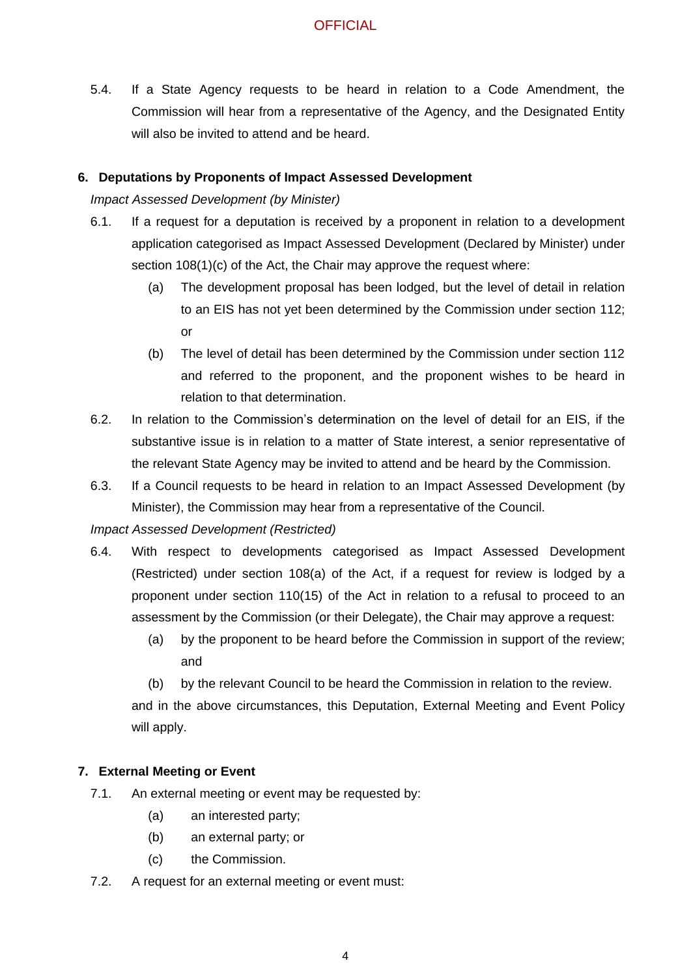5.4. If a State Agency requests to be heard in relation to a Code Amendment, the Commission will hear from a representative of the Agency, and the Designated Entity will also be invited to attend and be heard.

#### **6. Deputations by Proponents of Impact Assessed Development**

*Impact Assessed Development (by Minister)*

- 6.1. If a request for a deputation is received by a proponent in relation to a development application categorised as Impact Assessed Development (Declared by Minister) under section 108(1)(c) of the Act, the Chair may approve the request where:
	- (a) The development proposal has been lodged, but the level of detail in relation to an EIS has not yet been determined by the Commission under section 112; or
	- (b) The level of detail has been determined by the Commission under section 112 and referred to the proponent, and the proponent wishes to be heard in relation to that determination.
- 6.2. In relation to the Commission's determination on the level of detail for an EIS, if the substantive issue is in relation to a matter of State interest, a senior representative of the relevant State Agency may be invited to attend and be heard by the Commission.
- 6.3. If a Council requests to be heard in relation to an Impact Assessed Development (by Minister), the Commission may hear from a representative of the Council.

*Impact Assessed Development (Restricted)*

- 6.4. With respect to developments categorised as Impact Assessed Development (Restricted) under section 108(a) of the Act, if a request for review is lodged by a proponent under section 110(15) of the Act in relation to a refusal to proceed to an assessment by the Commission (or their Delegate), the Chair may approve a request:
	- (a) by the proponent to be heard before the Commission in support of the review; and

(b) by the relevant Council to be heard the Commission in relation to the review. and in the above circumstances, this Deputation, External Meeting and Event Policy will apply.

#### **7. External Meeting or Event**

- 7.1. An external meeting or event may be requested by:
	- (a) an interested party;
	- (b) an external party; or
	- (c) the Commission.
- 7.2. A request for an external meeting or event must: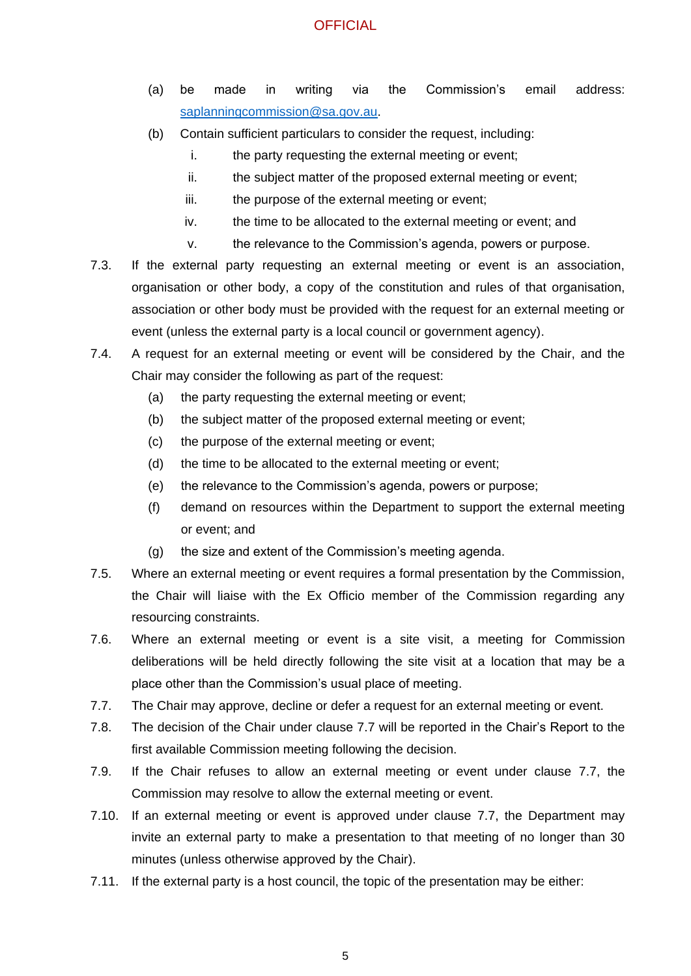- (a) be made in writing via the Commission's email address: [saplanningcommission@sa.gov.au.](mailto:saplanningcommission@sa.gov.au)
- (b) Contain sufficient particulars to consider the request, including:
	- i. the party requesting the external meeting or event;
	- ii. the subject matter of the proposed external meeting or event;
	- iii. the purpose of the external meeting or event;
	- iv. the time to be allocated to the external meeting or event; and
	- v. the relevance to the Commission's agenda, powers or purpose.
- 7.3. If the external party requesting an external meeting or event is an association, organisation or other body, a copy of the constitution and rules of that organisation, association or other body must be provided with the request for an external meeting or event (unless the external party is a local council or government agency).
- 7.4. A request for an external meeting or event will be considered by the Chair, and the Chair may consider the following as part of the request:
	- (a) the party requesting the external meeting or event;
	- (b) the subject matter of the proposed external meeting or event;
	- (c) the purpose of the external meeting or event;
	- (d) the time to be allocated to the external meeting or event;
	- (e) the relevance to the Commission's agenda, powers or purpose;
	- (f) demand on resources within the Department to support the external meeting or event; and
	- (g) the size and extent of the Commission's meeting agenda.
- 7.5. Where an external meeting or event requires a formal presentation by the Commission, the Chair will liaise with the Ex Officio member of the Commission regarding any resourcing constraints.
- 7.6. Where an external meeting or event is a site visit, a meeting for Commission deliberations will be held directly following the site visit at a location that may be a place other than the Commission's usual place of meeting.
- 7.7. The Chair may approve, decline or defer a request for an external meeting or event.
- 7.8. The decision of the Chair under clause 7.7 will be reported in the Chair's Report to the first available Commission meeting following the decision.
- 7.9. If the Chair refuses to allow an external meeting or event under clause 7.7, the Commission may resolve to allow the external meeting or event.
- 7.10. If an external meeting or event is approved under clause 7.7, the Department may invite an external party to make a presentation to that meeting of no longer than 30 minutes (unless otherwise approved by the Chair).
- 7.11. If the external party is a host council, the topic of the presentation may be either: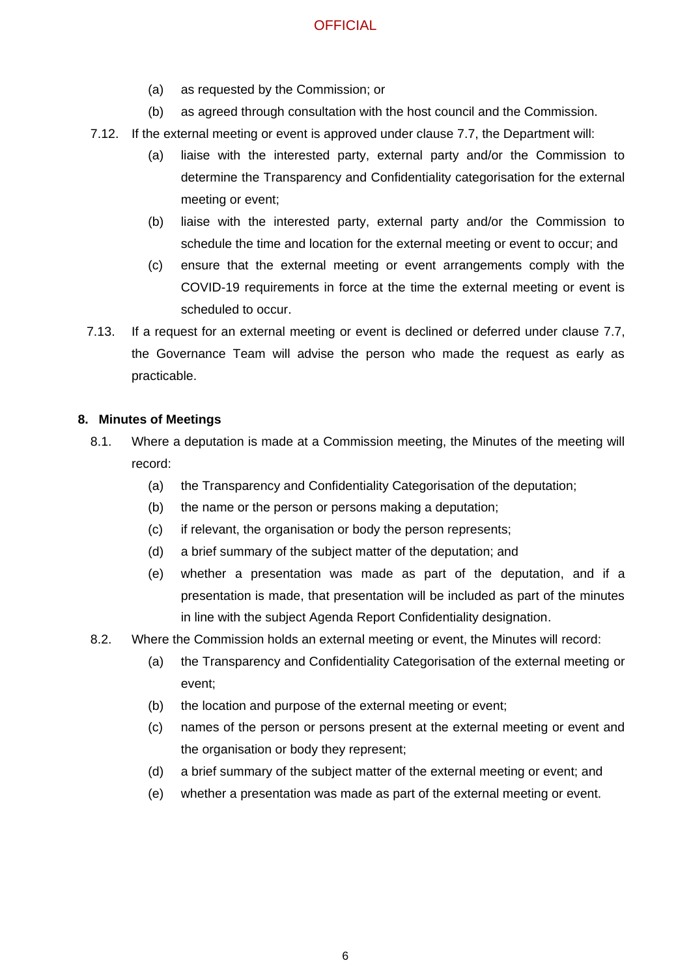- (a) as requested by the Commission; or
- (b) as agreed through consultation with the host council and the Commission.
- 7.12. If the external meeting or event is approved under clause 7.7, the Department will:
	- (a) liaise with the interested party, external party and/or the Commission to determine the Transparency and Confidentiality categorisation for the external meeting or event;
	- (b) liaise with the interested party, external party and/or the Commission to schedule the time and location for the external meeting or event to occur; and
	- (c) ensure that the external meeting or event arrangements comply with the COVID-19 requirements in force at the time the external meeting or event is scheduled to occur.
- 7.13. If a request for an external meeting or event is declined or deferred under clause 7.7, the Governance Team will advise the person who made the request as early as practicable.

#### **8. Minutes of Meetings**

- 8.1. Where a deputation is made at a Commission meeting, the Minutes of the meeting will record:
	- (a) the Transparency and Confidentiality Categorisation of the deputation;
	- (b) the name or the person or persons making a deputation;
	- (c) if relevant, the organisation or body the person represents;
	- (d) a brief summary of the subject matter of the deputation; and
	- (e) whether a presentation was made as part of the deputation, and if a presentation is made, that presentation will be included as part of the minutes in line with the subject Agenda Report Confidentiality designation.
- 8.2. Where the Commission holds an external meeting or event, the Minutes will record:
	- (a) the Transparency and Confidentiality Categorisation of the external meeting or event;
	- (b) the location and purpose of the external meeting or event;
	- (c) names of the person or persons present at the external meeting or event and the organisation or body they represent;
	- (d) a brief summary of the subject matter of the external meeting or event; and
	- (e) whether a presentation was made as part of the external meeting or event.